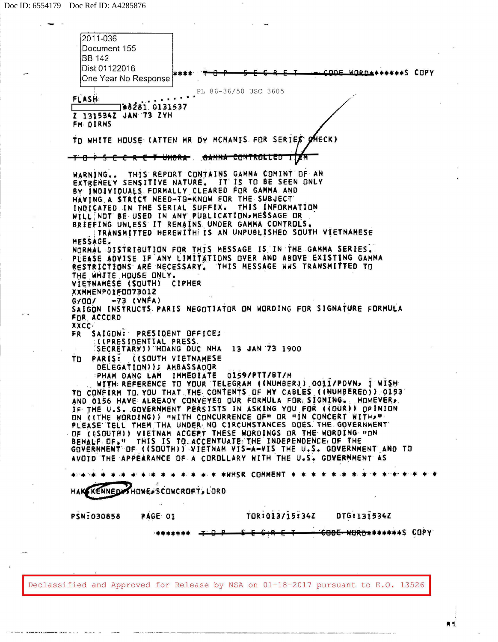$\sim$ 

بالمستواء سامية

| 2011-036<br>Document 155                                                                                                                                                                                                                                                                                                                                                                                                                                                                                                                            |
|-----------------------------------------------------------------------------------------------------------------------------------------------------------------------------------------------------------------------------------------------------------------------------------------------------------------------------------------------------------------------------------------------------------------------------------------------------------------------------------------------------------------------------------------------------|
| <b>BB</b> 142<br>Dist 01122016<br>. CODE WORD+******S COPY<br>One Year No Response                                                                                                                                                                                                                                                                                                                                                                                                                                                                  |
| PL 86-36/50 USC 3605<br>FLASH:<br>1#8281.0131537                                                                                                                                                                                                                                                                                                                                                                                                                                                                                                    |
| Z 131534Z JAN 73 ZYH<br>FM DIRNS                                                                                                                                                                                                                                                                                                                                                                                                                                                                                                                    |
| TO WHITE HOUSE (ATTEN MR DY MCMANIS FOR SERIES OHECK)                                                                                                                                                                                                                                                                                                                                                                                                                                                                                               |
| <del>-1 8 P S E C R E T UMBRA . GANNA CONTROLLED</del>                                                                                                                                                                                                                                                                                                                                                                                                                                                                                              |
| WARNING THIS REPORT CONTAINS GAMMA COMINT OF AN<br>EXTREMELY SENSITIVE NATURE. IT IS TO BE SEEN ONLY<br>BY INDIVIDUALS FORMALLY CLEARED FOR GAMMA AND<br>HAVING A STRICT NEED-TO-KNOW FOR THE SUBJECT<br>INDICATED IN THE SERIAL SUFFIX. THIS INFORMATION<br>WILL NOT BE USED IN ANY PUBLICATION, MESSAGE OR<br>BRIEFING UNLESS IT REMAINS UNDER GAMMA CONTROLS.                                                                                                                                                                                    |
| TRANSMITTED HEREWITH IS AN UNPUBLISHED SOUTH VIETNAMESE                                                                                                                                                                                                                                                                                                                                                                                                                                                                                             |
| MESSAGE.<br>NORMAL DISTRIBUTION FOR THIS MESSAGE IS IN THE GAMMA SERIES.<br>PEEASE ADVISE IF ANY LIMITATIONS OVER AND ABOVE EXISTING GAMMA<br>RESTRICTIONS ARE NECESSARY. THIS MESSAGE HWS TRANSMITTED TO<br>THE WHITE HOUSE ONLY.                                                                                                                                                                                                                                                                                                                  |
| VIETNAMESE (SOUTH) CIPHER<br>XXMMENPOIF0073012                                                                                                                                                                                                                                                                                                                                                                                                                                                                                                      |
| $-73$ (VNFA)<br>G/OO/<br>SAIGON INSTRUCTS PARIS NEGOTIATOR ON WORDING FOR SIGNATURE FORMULA<br>FOR ACCORD<br><b>XXCC</b>                                                                                                                                                                                                                                                                                                                                                                                                                            |
| SAIGON: PRESIDENT OFFICE;<br>FR.<br><b>:((PRESIDENTIAL PRESS.</b>                                                                                                                                                                                                                                                                                                                                                                                                                                                                                   |
| <b>SECRETARY) I HOANG DUC NHA 13 JAN 73 1900</b><br>PARIS: (ISOUTH VIETNAMESE<br>ות ד<br>DELEGATION)); AMBASSADOR<br>PHAM DANG LAM IMMEDIATE 0159/PTT/BT/M<br>WITH REFERENCE TO YOUR TELEGRAM (INUMBER)) 0011/POVN, I WISH<br>TO CONFIRM TO YOU THAT THE CONTENTS OF MY CABLES (INUMBERED)) 0153                                                                                                                                                                                                                                                    |
| AND 0156 HAVE ALREADY CONVEYED OUR FORMULA FOR SIGNING. HOWEVER.<br>IF THE U.S. GOVERNMENT PERSISTS IN ASKING YOU FOR ((OUR)) OPINION<br>ON (ITHE WORDING)) "WITH CONCURRENCE OF" OR "IN CONCERT WITH "<br>PLEASE TELL THEM THA UNDER NO CIRCUMSTANCES DOES THE GOVERNMENT<br>OF (6SOUTH)) VIETNAM ACCERT THESE WORDINGS OR THE WORDING HON<br>BEHALF OF " THIS IS TO ACCENTUATE THE INDEPENDENCE OF THE<br>GOVERNMENT DF ((SOUTH)) VIETNAM VISHA-VIS THE U.S. GOVERNMENT AND TO<br>AVOID THE APPEARANCE OF A COROLLARY WITH THE U.S. GOVERNMENT AS |
| * * * *HHSR COMMENT *                                                                                                                                                                                                                                                                                                                                                                                                                                                                                                                               |
| <b>HAKEKENNEDA</b><br>HOWE-SCOWCROFT, LORD                                                                                                                                                                                                                                                                                                                                                                                                                                                                                                          |
| TOR:013715:34Z<br>DTG:131534Z<br><b>PSN:030858</b><br>PAGE 01                                                                                                                                                                                                                                                                                                                                                                                                                                                                                       |
| <del>CODE WORD*</del> ******S COPY                                                                                                                                                                                                                                                                                                                                                                                                                                                                                                                  |
|                                                                                                                                                                                                                                                                                                                                                                                                                                                                                                                                                     |
|                                                                                                                                                                                                                                                                                                                                                                                                                                                                                                                                                     |
| Declassified and Approved for Release by NSA on 01-18-2017 pursuant to E.O. 13526                                                                                                                                                                                                                                                                                                                                                                                                                                                                   |

A 1.